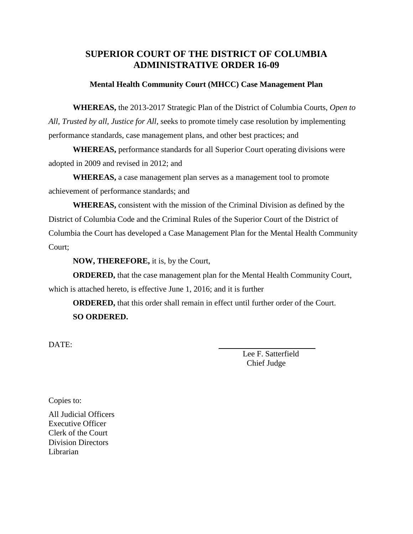#### **SUPERIOR COURT OF THE DISTRICT OF COLUMBIA ADMINISTRATIVE ORDER 16-09**

#### **Mental Health Community Court (MHCC) Case Management Plan**

**WHEREAS,** the 2013-2017 Strategic Plan of the District of Columbia Courts, *Open to All, Trusted by all, Justice for All,* seeks to promote timely case resolution by implementing performance standards, case management plans, and other best practices; and

**WHEREAS,** performance standards for all Superior Court operating divisions were adopted in 2009 and revised in 2012; and

**WHEREAS,** a case management plan serves as a management tool to promote achievement of performance standards; and

**WHEREAS,** consistent with the mission of the Criminal Division as defined by the District of Columbia Code and the Criminal Rules of the Superior Court of the District of Columbia the Court has developed a Case Management Plan for the Mental Health Community Court;

**NOW, THEREFORE,** it is, by the Court,

**ORDERED,** that the case management plan for the Mental Health Community Court, which is attached hereto, is effective June 1, 2016; and it is further

**ORDERED,** that this order shall remain in effect until further order of the Court. **SO ORDERED.**

DATE:

Lee F. Satterfield Chief Judge

Copies to:

All Judicial Officers Executive Officer Clerk of the Court Division Directors Librarian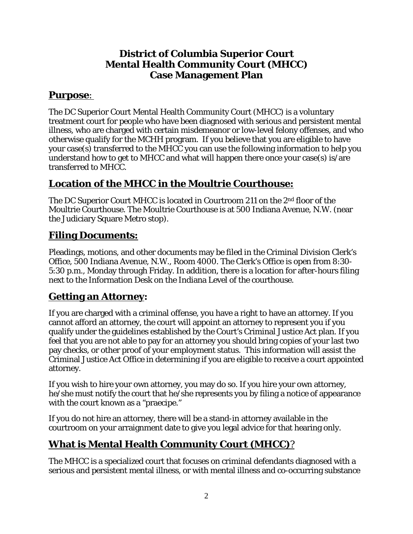#### **District of Columbia Superior Court Mental Health Community Court (MHCC) Case Management Plan**

### **Purpose**:

The DC Superior Court Mental Health Community Court (MHCC) is a voluntary treatment court for people who have been diagnosed with serious and persistent mental illness, who are charged with certain misdemeanor or low-level felony offenses, and who otherwise qualify for the MCHH program. If you believe that you are eligible to have your case(s) transferred to the MHCC you can use the following information to help you understand how to get to MHCC and what will happen there once your case(s) is/are transferred to MHCC.

### **Location of the MHCC in the Moultrie Courthouse:**

The DC Superior Court MHCC is located in Courtroom 211 on the 2nd floor of the Moultrie Courthouse. The Moultrie Courthouse is at 500 Indiana Avenue, N.W. (near the Judiciary Square Metro stop).

#### **Filing Documents:**

Pleadings, motions, and other documents may be filed in the Criminal Division Clerk's Office, 500 Indiana Avenue, N.W., Room 4000. The Clerk's Office is open from 8:30- 5:30 p.m., Monday through Friday. In addition, there is a location for after-hours filing next to the Information Desk on the Indiana Level of the courthouse.

#### **Getting an Attorney:**

If you are charged with a criminal offense, you have a right to have an attorney. If you cannot afford an attorney, the court will appoint an attorney to represent you if you qualify under the guidelines established by the Court's Criminal Justice Act plan. If you feel that you are not able to pay for an attorney you should bring copies of your last two pay checks, or other proof of your employment status. This information will assist the Criminal Justice Act Office in determining if you are eligible to receive a court appointed attorney.

If you wish to hire your own attorney, you may do so. If you hire your own attorney, he/she must notify the court that he/she represents you by filing a notice of appearance with the court known as a "praecipe."

If you do not hire an attorney, there will be a stand-in attorney available in the courtroom on your arraignment date to give you legal advice for that hearing only.

### **What is Mental Health Community Court (MHCC)**?

The MHCC is a specialized court that focuses on criminal defendants diagnosed with a serious and persistent mental illness, or with mental illness and co-occurring substance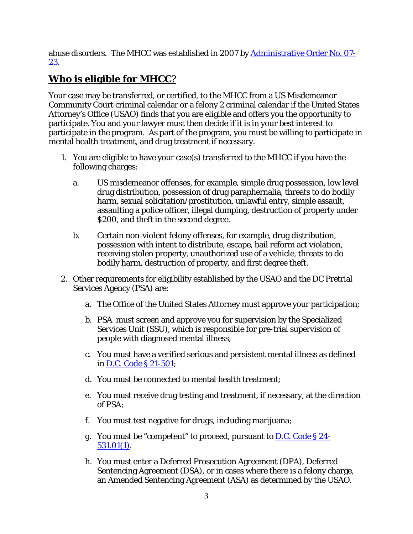abuse disorders. The MHCC was established in 2007 by **[Administrative](http://www.dccourts.gov/internet/documents/07-23.pdf) Order No. 07-**[23.](http://www.dccourts.gov/internet/documents/07-23.pdf)

# **Who is eligible for MHCC**?

Your case may be transferred, or certified, to the MHCC from a US Misdemeanor Community Court criminal calendar or a felony 2 criminal calendar if the United States Attorney's Office (USAO) finds that you are eligible and offers you the opportunity to participate. You and your lawyer must then decide if it is in your best interest to participate in the program. As part of the program, you must be willing to participate in mental health treatment, and drug treatment if necessary.

- 1. You are eligible to have your case(s) transferred to the MHCC if you have the following charges:
	- a. US misdemeanor offenses, for example, simple drug possession, low level drug distribution, possession of drug paraphernalia, threats to do bodily harm, sexual solicitation/prostitution, unlawful entry, simple assault, assaulting a police officer, illegal dumping, destruction of property under \$200, and theft in the second degree.
	- b. Certain non-violent felony offenses, for example, drug distribution, possession with intent to distribute, escape, bail reform act violation, receiving stolen property, unauthorized use of a vehicle, threats to do bodily harm, destruction of property, and first degree theft.
- 2. Other requirements for eligibility established by the USAO and the DC Pretrial Services Agency (PSA) are:
	- a. The Office of the United States Attorney must approve your participation;
	- b. PSA must screen and approve you for supervision by the Specialized Services Unit (SSU), which is responsible for pre-trial supervision of people with diagnosed mental illness;
	- c. You must have a verified serious and persistent mental illness as defined in D.C. Code § [21-501;](http://www.lexis.com/research/xlink?app=00075&view=full&searchtype=lt&search=D.C.+Code+%A7+21-501)
	- d. You must be connected to mental health treatment;
	- e. You must receive drug testing and treatment, if necessary, at the direction of PSA;
	- f. You must test negative for drugs, including marijuana;
	- g. You must be "competent" to proceed, pursuant to  $D.C. Code \S 24$  $D.C. Code \S 24$  $D.C. Code \S 24$ -[531.01\(](http://www.lexis.com/research/xlink?app=00075&view=full&searchtype=lt&search=D.C.+Code+%A7+24-531.01)1).
	- h. You must enter a Deferred Prosecution Agreement (DPA), Deferred Sentencing Agreement (DSA), or in cases where there is a felony charge, an Amended Sentencing Agreement (ASA) as determined by the USAO.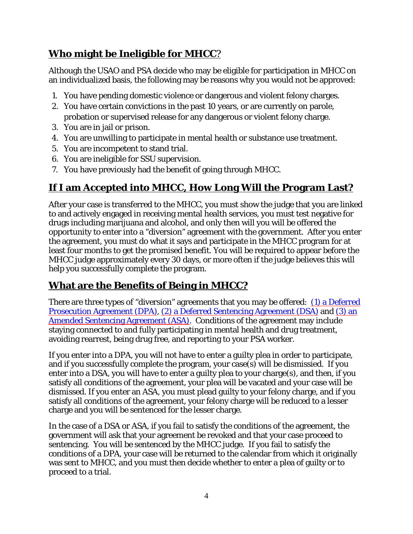## **Who might be Ineligible for MHCC**?

Although the USAO and PSA decide who may be eligible for participation in MHCC on an individualized basis, the following may be reasons why you would not be approved:

- 1. You have pending domestic violence or dangerous and violent felony charges.
- 2. You have certain convictions in the past 10 years, or are currently on parole, probation or supervised release for any dangerous or violent felony charge.
- 3. You are in jail or prison.
- 4. You are unwilling to participate in mental health or substance use treatment.
- 5. You are incompetent to stand trial.
- 6. You are ineligible for SSU supervision.
- 7. You have previously had the benefit of going through MHCC.

# **If I am Accepted into MHCC, How Long Will the Program Last?**

After your case is transferred to the MHCC, you must show the judge that you are linked to and actively engaged in receiving mental health services, you must test negative for drugs including marijuana and alcohol, and only then will you will be offered the opportunity to enter into a "diversion" agreement with the government. After you enter the agreement, you must do what it says and participate in the MHCC program for at least four months to get the promised benefit. You will be required to appear before the MHCC judge approximately every 30 days, or more often if the judge believes this will help you successfully complete the program.

## **What are the Benefits of Being in MHCC?**

There are three types of "diversion" agreements that you may be offered: (1) a Deferred Prosecution Agreement (DPA), (2) a Deferred Sentencing Agreement (DSA) and (3) an Amended Sentencing Agreement (ASA). Conditions of the agreement may include staying connected to and fully participating in mental health and drug treatment, avoiding rearrest, being drug free, and reporting to your PSA worker.

If you enter into a DPA, you will not have to enter a guilty plea in order to participate, and if you successfully complete the program, your case(s) will be dismissied. If you enter into a DSA, you will have to enter a guilty plea to your charge(s), and then, if you satisfy all conditions of the agreement, your plea will be vacated and your case will be dismissed. If you enter an ASA, you must plead guilty to your felony charge, and if you satisfy all conditions of the agreement, your felony charge will be reduced to a lesser charge and you will be sentenced for the lesser charge.

In the case of a DSA or ASA, if you fail to satisfy the conditions of the agreement, the government will ask that your agreement be revoked and that your case proceed to sentencing. You will be sentenced by the MHCC judge. If you fail to satisfy the conditions of a DPA, your case will be returned to the calendar from which it originally was sent to MHCC, and you must then decide whether to enter a plea of guilty or to proceed to a trial.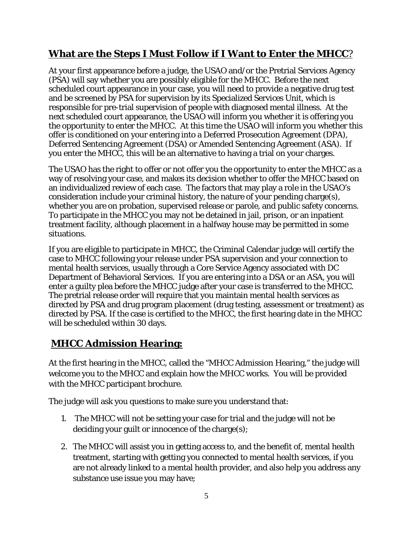### **What are the Steps I Must Follow if I Want to Enter the MHCC**?

At your first appearance before a judge, the USAO and/or the Pretrial Services Agency (PSA) will say whether you are possibly eligible for the MHCC. Before the next scheduled court appearance in your case, you will need to provide a negative drug test and be screened by PSA for supervision by its Specialized Services Unit, which is responsible for pre-trial supervision of people with diagnosed mental illness. At the next scheduled court appearance, the USAO will inform you whether it is offering you the opportunity to enter the MHCC. At this time the USAO will inform you whether this offer is conditioned on your entering into a Deferred Prosecution Agreement (DPA), Deferred Sentencing Agreement (DSA) or Amended Sentencing Agreement (ASA). If you enter the MHCC, this will be an alternative to having a trial on your charges.

The USAO has the right to offer or not offer you the opportunity to enter the MHCC as a way of resolving your case, and makes its decision whether to offer the MHCC based on an individualized review of each case. The factors that may play a role in the USAO's consideration include your criminal history, the nature of your pending charge(s), whether you are on probation, supervised release or parole, and public safety concerns. To participate in the MHCC you may not be detained in jail, prison, or an inpatient treatment facility, although placement in a halfway house may be permitted in some situations.

If you are eligible to participate in MHCC, the Criminal Calendar judge will certify the case to MHCC following your release under PSA supervision and your connection to mental health services, usually through a Core Service Agency associated with DC Department of Behavioral Services. If you are entering into a DSA or an ASA, you will enter a guilty plea before the MHCC judge after your case is transferred to the MHCC. The pretrial release order will require that you maintain mental health services as directed by PSA and drug program placement (drug testing, assessment or treatment) as directed by PSA. If the case is certified to the MHCC, the first hearing date in the MHCC will be scheduled within 30 days.

## **MHCC Admission Hearing:**

At the first hearing in the MHCC, called the "MHCC Admission Hearing," the judge will welcome you to the MHCC and explain how the MHCC works. You will be provided with the MHCC participant brochure.

The judge will ask you questions to make sure you understand that:

- 1. The MHCC will not be setting your case for trial and the judge will not be deciding your guilt or innocence of the charge(s);
- 2. The MHCC will assist you in getting access to, and the benefit of, mental health treatment, starting with getting you connected to mental health services, if you are not already linked to a mental health provider, and also help you address any substance use issue you may have;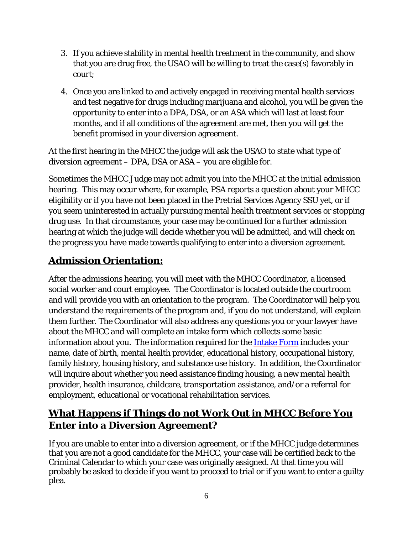- 3. If you achieve stability in mental health treatment in the community, and show that you are drug free, the USAO will be willing to treat the case(s) favorably in court;
- 4. Once you are linked to and actively engaged in receiving mental health services and test negative for drugs including marijuana and alcohol, you will be given the opportunity to enter into a DPA, DSA, or an ASA which will last at least four months, and if all conditions of the agreement are met, then you will get the benefit promised in your diversion agreement.

At the first hearing in the MHCC the judge will ask the USAO to state what type of diversion agreement – DPA, DSA or ASA – you are eligible for.

Sometimes the MHCC Judge may not admit you into the MHCC at the initial admission hearing. This may occur where, for example, PSA reports a question about your MHCC eligibility or if you have not been placed in the Pretrial Services Agency SSU yet, or if you seem uninterested in actually pursuing mental health treatment services or stopping drug use. In that circumstance, your case may be continued for a further admission hearing at which the judge will decide whether you will be admitted, and will check on the progress you have made towards qualifying to enter into a diversion agreement.

# **Admission Orientation:**

After the admissions hearing, you will meet with the MHCC Coordinator, a licensed social worker and court employee. The Coordinator is located outside the courtroom and will provide you with an orientation to the program. The Coordinator will help you understand the requirements of the program and, if you do not understand, will explain them further. The Coordinator will also address any questions you or your lawyer have about the MHCC and will complete an intake form which collects some basic information about you. The information required for the **Intake Form** includes your name, date of birth, mental health provider, educational history, occupational history, family history, housing history, and substance use history. In addition, the Coordinator will inquire about whether you need assistance finding housing, a new mental health provider, health insurance, childcare, transportation assistance, and/or a referral for employment, educational or vocational rehabilitation services.

# **What Happens if Things do not Work Out in MHCC Before You Enter into a Diversion Agreement?**

If you are unable to enter into a diversion agreement, or if the MHCC judge determines that you are not a good candidate for the MHCC, your case will be certified back to the Criminal Calendar to which your case was originally assigned. At that time you will probably be asked to decide if you want to proceed to trial or if you want to enter a guilty plea.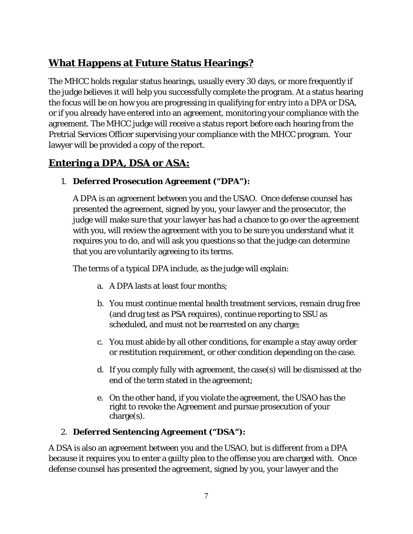# **What Happens at Future Status Hearings?**

The MHCC holds regular status hearings, usually every 30 days, or more frequently if the judge believes it will help you successfully complete the program. At a status hearing the focus will be on how you are progressing in qualifying for entry into a DPA or DSA, or if you already have entered into an agreement, monitoring your compliance with the agreement. The MHCC judge will receive a status report before each hearing from the Pretrial Services Officer supervising your compliance with the MHCC program. Your lawyer will be provided a copy of the report.

### **Entering a DPA, DSA or ASA:**

#### 1. **Deferred Prosecution Agreement ("DPA"):**

A DPA is an agreement between you and the USAO. Once defense counsel has presented the agreement, signed by you, your lawyer and the prosecutor, the judge will make sure that your lawyer has had a chance to go over the agreement with you, will review the agreement with you to be sure you understand what it requires you to do, and will ask you questions so that the judge can determine that you are voluntarily agreeing to its terms.

The terms of a typical DPA include, as the judge will explain:

- a. A DPA lasts at least four months;
- b. You must continue mental health treatment services, remain drug free (and drug test as PSA requires), continue reporting to SSU as scheduled, and must not be rearrested on any charge;
- c. You must abide by all other conditions, for example a stay away order or restitution requirement, or other condition depending on the case.
- d. If you comply fully with agreement, the case(s) will be dismissed at the end of the term stated in the agreement;
- e. On the other hand, if you violate the agreement, the USAO has the right to revoke the Agreement and pursue prosecution of your charge(s).

#### 2. **Deferred Sentencing Agreement ("DSA"):**

A DSA is also an agreement between you and the USAO, but is different from a DPA because it requires you to enter a guilty plea to the offense you are charged with. Once defense counsel has presented the agreement, signed by you, your lawyer and the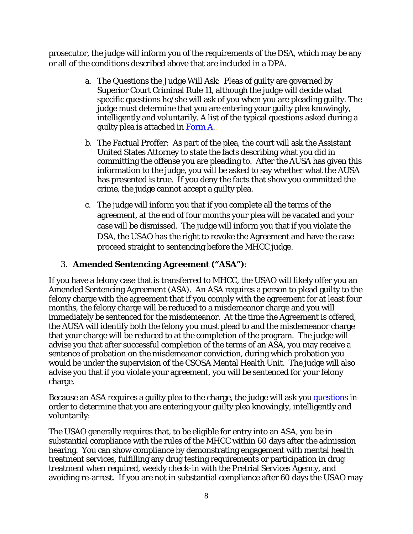prosecutor, the judge will inform you of the requirements of the DSA, which may be any or all of the conditions described above that are included in a DPA.

- a. The Questions the Judge Will Ask: Pleas of guilty are governed by Superior Court Criminal Rule 11, although the judge will decide what specific questions he/she will ask of you when you are pleading guilty. The judge must determine that you are entering your guilty plea knowingly, intelligently and voluntarily. A list of the typical questions asked during a guilty plea is attached in Form A..
- b. The Factual Proffer:As part of the plea, the court will ask the Assistant United States Attorney to state the facts describing what you did in committing the offense you are pleading to. After the AUSA has given this information to the judge, you will be asked to say whether what the AUSA has presented is true. If you deny the facts that show you committed the crime, the judge cannot accept a guilty plea.
- c. The judge will inform you that if you complete all the terms of the agreement, at the end of four months your plea will be vacated and your case will be dismissed. The judge will inform you that if you violate the DSA, the USAO has the right to revoke the Agreement and have the case proceed straight to sentencing before the MHCC judge.

#### 3. **Amended Sentencing Agreement ("ASA")**:

If you have a felony case that is transferred to MHCC, the USAO will likely offer you an Amended Sentencing Agreement (ASA). An ASA requires a person to plead guilty to the felony charge with the agreement that if you comply with the agreement for at least four months, the felony charge will be reduced to a misdemeanor charge and you will immediately be sentenced for the misdemeanor. At the time the Agreement is offered, the AUSA will identify both the felony you must plead to and the misdemeanor charge that your charge will be reduced to at the completion of the program. The judge will advise you that after successful completion of the terms of an ASA, you may receive a sentence of probation on the misdemeanor conviction, during which probation you would be under the supervision of the CSOSA Mental Health Unit. The judge will also advise you that if you violate your agreement, you will be sentenced for your felony charge.

Because an ASA requires a guilty plea to the charge, the judge will ask you questions in order to determine that you are entering your guilty plea knowingly, intelligently and voluntarily:

The USAO generally requires that, to be eligible for entry into an ASA, you be in substantial compliance with the rules of the MHCC within 60 days after the admission hearing. You can show compliance by demonstrating engagement with mental health treatment services, fulfilling any drug testing requirements or participation in drug treatment when required, weekly check-in with the Pretrial Services Agency, and avoiding re-arrest. If you are not in substantial compliance after 60 days the USAO may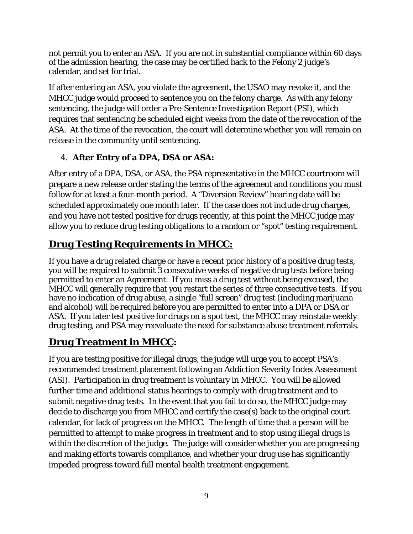not permit you to enter an ASA. If you are not in substantial compliance within 60 days of the admission hearing, the case may be certified back to the Felony 2 judge's calendar, and set for trial.

If after entering an ASA, you violate the agreement, the USAO may revoke it, and the MHCC judge would proceed to sentence you on the felony charge. As with any felony sentencing, the judge will order a Pre-Sentence Investigation Report (PSI), which requires that sentencing be scheduled eight weeks from the date of the revocation of the ASA. At the time of the revocation, the court will determine whether you will remain on release in the community until sentencing.

#### 4. **After Entry of a DPA, DSA or ASA:**

After entry of a DPA, DSA, or ASA, the PSA representative in the MHCC courtroom will prepare a new release order stating the terms of the agreement and conditions you must follow for at least a four-month period. A "Diversion Review" hearing date will be scheduled approximately one month later. If the case does not include drug charges, and you have not tested positive for drugs recently, at this point the MHCC judge may allow you to reduce drug testing obligations to a random or "spot" testing requirement.

# **Drug Testing Requirements in MHCC:**

If you have a drug related charge or have a recent prior history of a positive drug tests, you will be required to submit 3 consecutive weeks of negative drug tests before being permitted to enter an Agreement. If you miss a drug test without being excused, the MHCC will generally require that you restart the series of three consecutive tests. If you have no indication of drug abuse, a single "full screen" drug test (including marijuana and alcohol) will be required before you are permitted to enter into a DPA or DSA or ASA. If you later test positive for drugs on a spot test, the MHCC may reinstate weekly drug testing, and PSA may reevaluate the need for substance abuse treatment referrals.

# **Drug Treatment in MHCC:**

If you are testing positive for illegal drugs, the judge will urge you to accept PSA's recommended treatment placement following an Addiction Severity Index Assessment (ASI). Participation in drug treatment is voluntary in MHCC. You will be allowed further time and additional status hearings to comply with drug treatment and to submit negative drug tests. In the event that you fail to do so, the MHCC judge may decide to discharge you from MHCC and certify the case(s) back to the original court calendar, for lack of progress on the MHCC. The length of time that a person will be permitted to attempt to make progress in treatment and to stop using illegal drugs is within the discretion of the judge. The judge will consider whether you are progressing and making efforts towards compliance, and whether your drug use has significantly impeded progress toward full mental health treatment engagement.